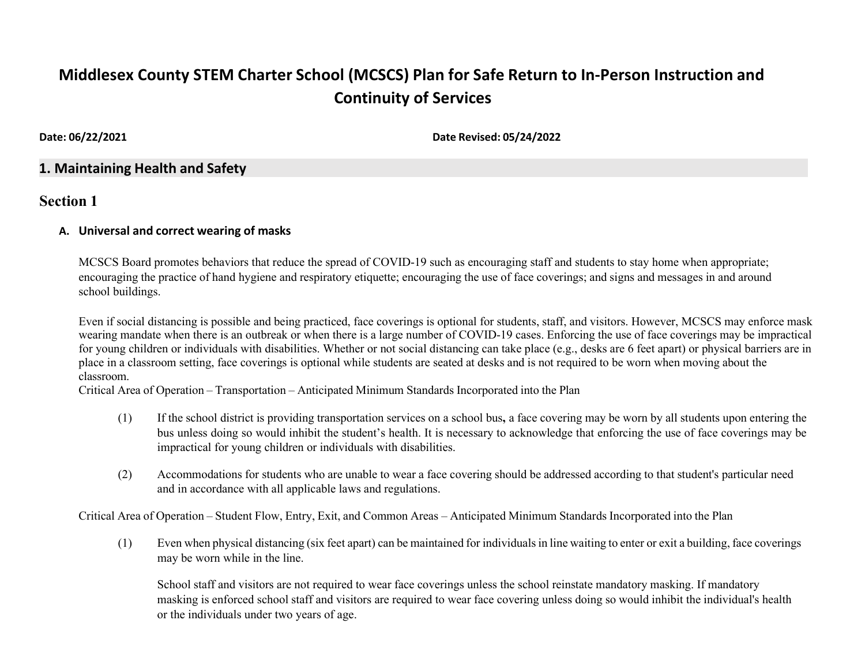# **Middlesex County STEM Charter School (MCSCS) Plan for Safe Return to In-Person Instruction and Continuity of Services**

**Date: 06/22/2021 Date Revised: 05/24/2022**

# **1. Maintaining Health and Safety**

# **Section 1**

#### **A. Universal and correct wearing of masks**

MCSCS Board promotes behaviors that reduce the spread of COVID-19 such as encouraging staff and students to stay home when appropriate; encouraging the practice of hand hygiene and respiratory etiquette; encouraging the use of face coverings; and signs and messages in and around school buildings.

Even if social distancing is possible and being practiced, face coverings is optional for students, staff, and visitors. However, MCSCS may enforce mask wearing mandate when there is an outbreak or when there is a large number of COVID-19 cases. Enforcing the use of face coverings may be impractical for young children or individuals with disabilities. Whether or not social distancing can take place (e.g., desks are 6 feet apart) or physical barriers are in place in a classroom setting, face coverings is optional while students are seated at desks and is not required to be worn when moving about the classroom.

Critical Area of Operation – Transportation – Anticipated Minimum Standards Incorporated into the Plan

- (1) If the school district is providing transportation services on a school bus**,** a face covering may be worn by all students upon entering the bus unless doing so would inhibit the student's health. It is necessary to acknowledge that enforcing the use of face coverings may be impractical for young children or individuals with disabilities.
- (2) Accommodations for students who are unable to wear a face covering should be addressed according to that student's particular need and in accordance with all applicable laws and regulations.

Critical Area of Operation – Student Flow, Entry, Exit, and Common Areas – Anticipated Minimum Standards Incorporated into the Plan

(1) Even when physical distancing (six feet apart) can be maintained for individuals in line waiting to enter or exit a building, face coverings may be worn while in the line.

School staff and visitors are not required to wear face coverings unless the school reinstate mandatory masking. If mandatory masking is enforced school staff and visitors are required to wear face covering unless doing so would inhibit the individual's health or the individuals under two years of age.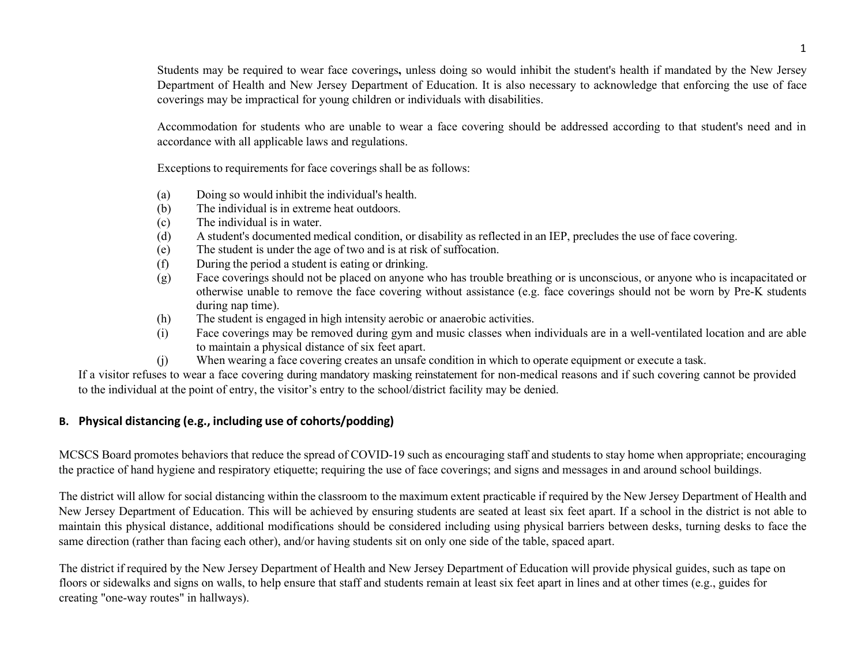Students may be required to wear face coverings**,** unless doing so would inhibit the student's health if mandated by the New Jersey Department of Health and New Jersey Department of Education. It is also necessary to acknowledge that enforcing the use of face coverings may be impractical for young children or individuals with disabilities.

Accommodation for students who are unable to wear a face covering should be addressed according to that student's need and in accordance with all applicable laws and regulations.

Exceptions to requirements for face coverings shall be as follows:

- (a) Doing so would inhibit the individual's health.
- (b) The individual is in extreme heat outdoors.
- (c) The individual is in water.
- (d) A student's documented medical condition, or disability as reflected in an IEP, precludes the use of face covering.
- (e) The student is under the age of two and is at risk of suffocation.
- (f) During the period a student is eating or drinking.
- (g) Face coverings should not be placed on anyone who has trouble breathing or is unconscious, or anyone who is incapacitated or otherwise unable to remove the face covering without assistance (e.g. face coverings should not be worn by Pre-K students during nap time).
- (h) The student is engaged in high intensity aerobic or anaerobic activities.
- (i) Face coverings may be removed during gym and music classes when individuals are in a well-ventilated location and are able to maintain a physical distance of six feet apart.
- (j) When wearing a face covering creates an unsafe condition in which to operate equipment or execute a task.

If a visitor refuses to wear a face covering during mandatory masking reinstatement for non-medical reasons and if such covering cannot be provided to the individual at the point of entry, the visitor's entry to the school/district facility may be denied.

#### **B. Physical distancing (e.g., including use of cohorts/podding)**

MCSCS Board promotes behaviors that reduce the spread of COVID-19 such as encouraging staff and students to stay home when appropriate; encouraging the practice of hand hygiene and respiratory etiquette; requiring the use of face coverings; and signs and messages in and around school buildings.

The district will allow for social distancing within the classroom to the maximum extent practicable if required by the New Jersey Department of Health and New Jersey Department of Education. This will be achieved by ensuring students are seated at least six feet apart. If a school in the district is not able to maintain this physical distance, additional modifications should be considered including using physical barriers between desks, turning desks to face the same direction (rather than facing each other), and/or having students sit on only one side of the table, spaced apart.

The district if required by the New Jersey Department of Health and New Jersey Department of Education will provide physical guides, such as tape on floors or sidewalks and signs on walls, to help ensure that staff and students remain at least six feet apart in lines and at other times (e.g., guides for creating "one-way routes" in hallways).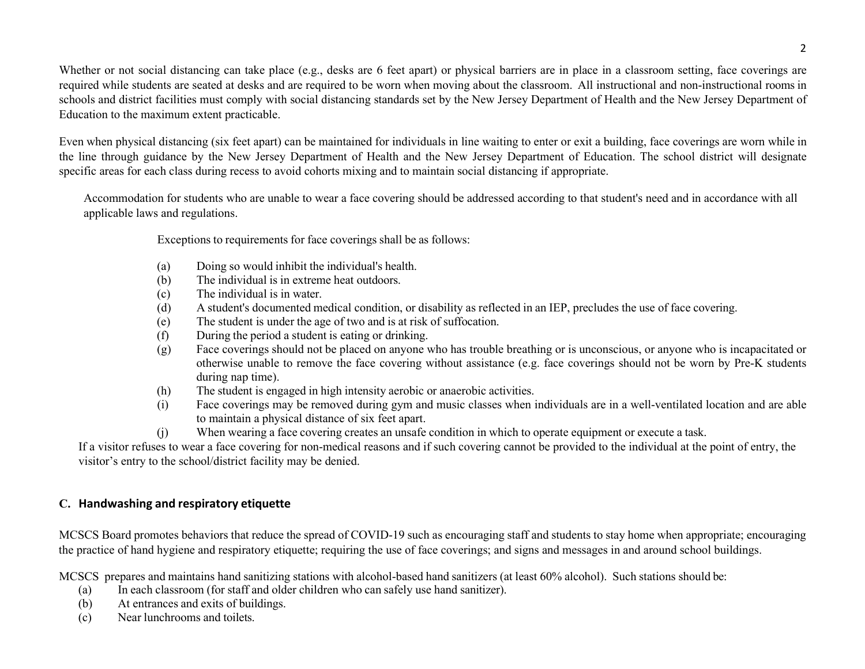Whether or not social distancing can take place (e.g., desks are 6 feet apart) or physical barriers are in place in a classroom setting, face coverings are required while students are seated at desks and are required to be worn when moving about the classroom. All instructional and non-instructional rooms in schools and district facilities must comply with social distancing standards set by the New Jersey Department of Health and the New Jersey Department of Education to the maximum extent practicable.

Even when physical distancing (six feet apart) can be maintained for individuals in line waiting to enter or exit a building, face coverings are worn while in the line through guidance by the New Jersey Department of Health and the New Jersey Department of Education. The school district will designate specific areas for each class during recess to avoid cohorts mixing and to maintain social distancing if appropriate.

Accommodation for students who are unable to wear a face covering should be addressed according to that student's need and in accordance with all applicable laws and regulations.

Exceptions to requirements for face coverings shall be as follows:

- (a) Doing so would inhibit the individual's health.
- (b) The individual is in extreme heat outdoors.
- (c) The individual is in water.
- (d) A student's documented medical condition, or disability as reflected in an IEP, precludes the use of face covering.
- (e) The student is under the age of two and is at risk of suffocation.
- (f) During the period a student is eating or drinking.
- (g) Face coverings should not be placed on anyone who has trouble breathing or is unconscious, or anyone who is incapacitated or otherwise unable to remove the face covering without assistance (e.g. face coverings should not be worn by Pre-K students during nap time).
- (h) The student is engaged in high intensity aerobic or anaerobic activities.
- (i) Face coverings may be removed during gym and music classes when individuals are in a well-ventilated location and are able to maintain a physical distance of six feet apart.
- (j) When wearing a face covering creates an unsafe condition in which to operate equipment or execute a task.

If a visitor refuses to wear a face covering for non-medical reasons and if such covering cannot be provided to the individual at the point of entry, the visitor's entry to the school/district facility may be denied.

# **C. Handwashing and respiratory etiquette**

MCSCS Board promotes behaviors that reduce the spread of COVID-19 such as encouraging staff and students to stay home when appropriate; encouraging the practice of hand hygiene and respiratory etiquette; requiring the use of face coverings; and signs and messages in and around school buildings.

MCSCS prepares and maintains hand sanitizing stations with alcohol-based hand sanitizers (at least 60% alcohol). Such stations should be:

- (a) In each classroom (for staff and older children who can safely use hand sanitizer).
- (b) At entrances and exits of buildings.
- (c) Near lunchrooms and toilets.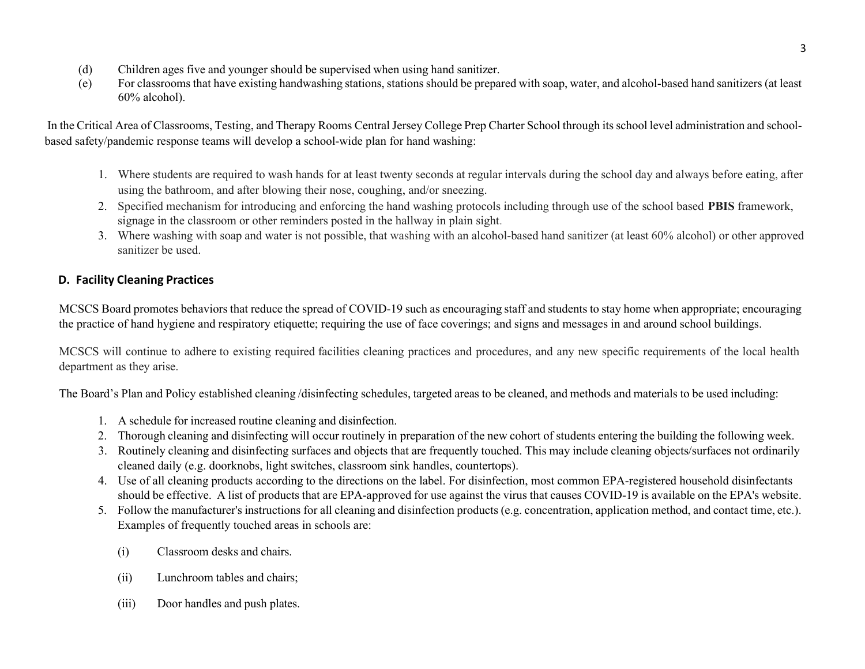- (d) Children ages five and younger should be supervised when using hand sanitizer.
- (e) For classrooms that have existing handwashing stations, stations should be prepared with soap, water, and alcohol-based hand sanitizers (at least 60% alcohol).

In the Critical Area of Classrooms, Testing, and Therapy Rooms Central Jersey College Prep Charter School through its school level administration and schoolbased safety/pandemic response teams will develop a school-wide plan for hand washing:

- 1. Where students are required to wash hands for at least twenty seconds at regular intervals during the school day and always before eating, after using the bathroom, and after blowing their nose, coughing, and/or sneezing.
- 2. Specified mechanism for introducing and enforcing the hand washing protocols including through use of the school based **PBIS** framework, signage in the classroom or other reminders posted in the hallway in plain sight.
- 3. Where washing with soap and water is not possible, that washing with an alcohol-based hand sanitizer (at least 60% alcohol) or other approved sanitizer be used.

# **D. Facility Cleaning Practices**

MCSCS Board promotes behaviors that reduce the spread of COVID-19 such as encouraging staff and students to stay home when appropriate; encouraging the practice of hand hygiene and respiratory etiquette; requiring the use of face coverings; and signs and messages in and around school buildings.

MCSCS will continue to adhere to existing required facilities cleaning practices and procedures, and any new specific requirements of the local health department as they arise.

The Board's Plan and Policy established cleaning /disinfecting schedules, targeted areas to be cleaned, and methods and materials to be used including:

- 1. A schedule for increased routine cleaning and disinfection.
- 2. Thorough cleaning and disinfecting will occur routinely in preparation of the new cohort of students entering the building the following week.
- 3. Routinely cleaning and disinfecting surfaces and objects that are frequently touched. This may include cleaning objects/surfaces not ordinarily cleaned daily (e.g. doorknobs, light switches, classroom sink handles, countertops).
- 4. Use of all cleaning products according to the directions on the label. For disinfection, most common EPA-registered household disinfectants should be effective. A list of products that are EPA-approved for use against the virus that causes COVID-19 is available on the EPA's website.
- 5. Follow the manufacturer's instructions for all cleaning and disinfection products (e.g. concentration, application method, and contact time, etc.). Examples of frequently touched areas in schools are:
	- (i) Classroom desks and chairs.
	- (ii) Lunchroom tables and chairs;
	- (iii) Door handles and push plates.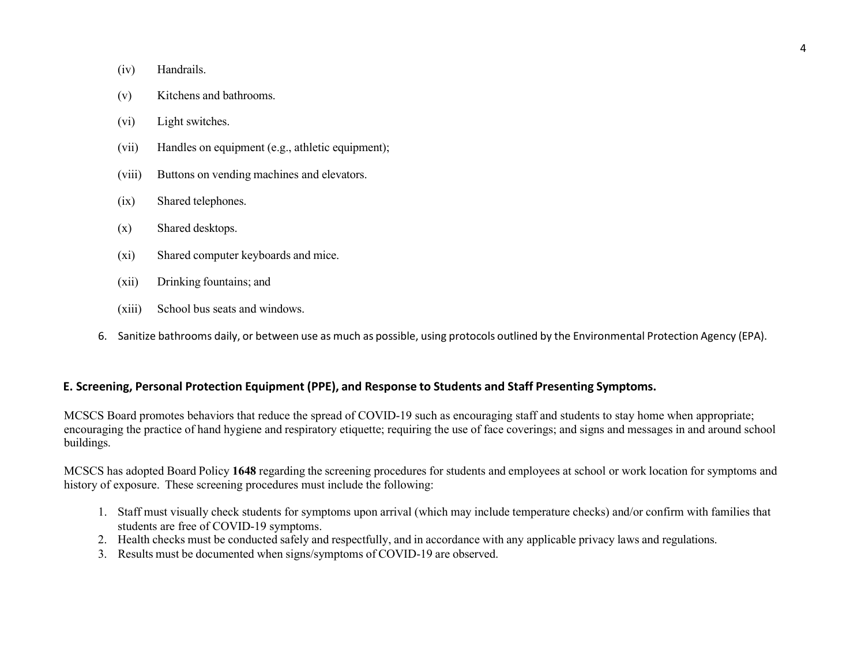- (iv) Handrails.
- (v) Kitchens and bathrooms.
- (vi) Light switches.
- (vii) Handles on equipment (e.g., athletic equipment);
- (viii) Buttons on vending machines and elevators.
- (ix) Shared telephones.
- (x) Shared desktops.
- (xi) Shared computer keyboards and mice.
- (xii) Drinking fountains; and
- (xiii) School bus seats and windows.
- 6. Sanitize bathrooms daily, or between use as much as possible, using protocols outlined by the Environmental Protection Agency (EPA).

## **E. Screening, Personal Protection Equipment (PPE), and Response to Students and Staff Presenting Symptoms.**

MCSCS Board promotes behaviors that reduce the spread of COVID-19 such as encouraging staff and students to stay home when appropriate; encouraging the practice of hand hygiene and respiratory etiquette; requiring the use of face coverings; and signs and messages in and around school buildings.

MCSCS has adopted Board Policy **1648** regarding the screening procedures for students and employees at school or work location for symptoms and history of exposure. These screening procedures must include the following:

- 1. Staff must visually check students for symptoms upon arrival (which may include temperature checks) and/or confirm with families that students are free of COVID-19 symptoms.
- 2. Health checks must be conducted safely and respectfully, and in accordance with any applicable privacy laws and regulations.
- 3. Results must be documented when signs/symptoms of COVID-19 are observed.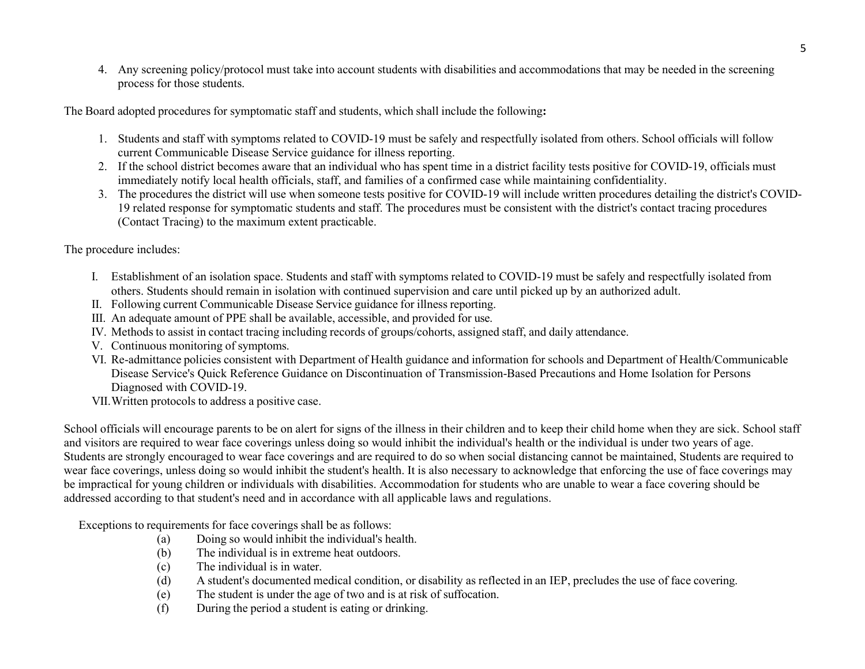4. Any screening policy/protocol must take into account students with disabilities and accommodations that may be needed in the screening process for those students.

The Board adopted procedures for symptomatic staff and students, which shall include the following**:**

- 1. Students and staff with symptoms related to COVID-19 must be safely and respectfully isolated from others. School officials will follow current Communicable Disease Service guidance for illness reporting.
- 2. If the school district becomes aware that an individual who has spent time in a district facility tests positive for COVID-19, officials must immediately notify local health officials, staff, and families of a confirmed case while maintaining confidentiality.
- 3. The procedures the district will use when someone tests positive for COVID-19 will include written procedures detailing the district's COVID-19 related response for symptomatic students and staff. The procedures must be consistent with the district's contact tracing procedures (Contact Tracing) to the maximum extent practicable.

The procedure includes:

- I. Establishment of an isolation space. Students and staff with symptoms related to COVID-19 must be safely and respectfully isolated from others. Students should remain in isolation with continued supervision and care until picked up by an authorized adult.
- II. Following current Communicable Disease Service guidance for illness reporting.
- III. An adequate amount of PPE shall be available, accessible, and provided for use.
- IV. Methods to assist in contact tracing including records of groups/cohorts, assigned staff, and daily attendance.
- V. Continuous monitoring of symptoms.
- VI. Re-admittance policies consistent with Department of Health guidance and information for schools and Department of Health/Communicable Disease Service's Quick Reference Guidance on Discontinuation of Transmission-Based Precautions and Home Isolation for Persons Diagnosed with COVID-19.
- VII.Written protocols to address a positive case.

School officials will encourage parents to be on alert for signs of the illness in their children and to keep their child home when they are sick. School staff and visitors are required to wear face coverings unless doing so would inhibit the individual's health or the individual is under two years of age. Students are strongly encouraged to wear face coverings and are required to do so when social distancing cannot be maintained, Students are required to wear face coverings, unless doing so would inhibit the student's health. It is also necessary to acknowledge that enforcing the use of face coverings may be impractical for young children or individuals with disabilities. Accommodation for students who are unable to wear a face covering should be addressed according to that student's need and in accordance with all applicable laws and regulations.

Exceptions to requirements for face coverings shall be as follows:

- (a) Doing so would inhibit the individual's health.
- (b) The individual is in extreme heat outdoors.
- (c) The individual is in water.
- (d) A student's documented medical condition, or disability as reflected in an IEP, precludes the use of face covering.
- (e) The student is under the age of two and is at risk of suffocation.
- (f) During the period a student is eating or drinking.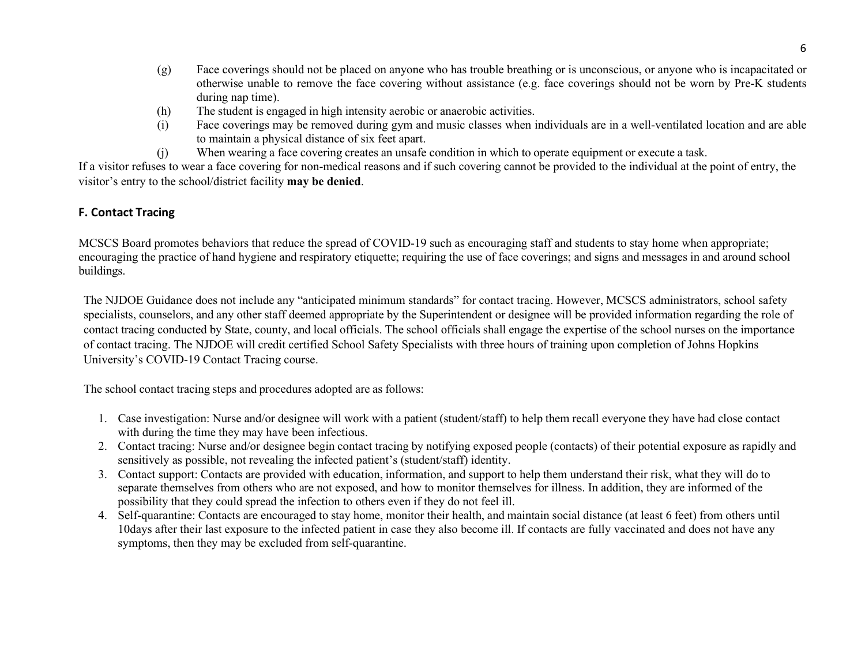- (g) Face coverings should not be placed on anyone who has trouble breathing or is unconscious, or anyone who is incapacitated or otherwise unable to remove the face covering without assistance (e.g. face coverings should not be worn by Pre-K students during nap time).
- (h) The student is engaged in high intensity aerobic or anaerobic activities.
- (i) Face coverings may be removed during gym and music classes when individuals are in a well-ventilated location and are able to maintain a physical distance of six feet apart.
- (j) When wearing a face covering creates an unsafe condition in which to operate equipment or execute a task.

If a visitor refuses to wear a face covering for non-medical reasons and if such covering cannot be provided to the individual at the point of entry, the visitor's entry to the school/district facility **may be denied**.

## **F. Contact Tracing**

MCSCS Board promotes behaviors that reduce the spread of COVID-19 such as encouraging staff and students to stay home when appropriate; encouraging the practice of hand hygiene and respiratory etiquette; requiring the use of face coverings; and signs and messages in and around school buildings.

The NJDOE Guidance does not include any "anticipated minimum standards" for contact tracing. However, MCSCS administrators, school safety specialists, counselors, and any other staff deemed appropriate by the Superintendent or designee will be provided information regarding the role of contact tracing conducted by State, county, and local officials. The school officials shall engage the expertise of the school nurses on the importance of contact tracing. The NJDOE will credit certified School Safety Specialists with three hours of training upon completion of Johns Hopkins University's COVID-19 Contact Tracing course.

The school contact tracing steps and procedures adopted are as follows:

- 1. Case investigation: Nurse and/or designee will work with a patient (student/staff) to help them recall everyone they have had close contact with during the time they may have been infectious.
- 2. Contact tracing: Nurse and/or designee begin contact tracing by notifying exposed people (contacts) of their potential exposure as rapidly and sensitively as possible, not revealing the infected patient's (student/staff) identity.
- 3. Contact support: Contacts are provided with education, information, and support to help them understand their risk, what they will do to separate themselves from others who are not exposed, and how to monitor themselves for illness. In addition, they are informed of the possibility that they could spread the infection to others even if they do not feel ill.
- 4. Self-quarantine: Contacts are encouraged to stay home, monitor their health, and maintain social distance (at least 6 feet) from others until 10days after their last exposure to the infected patient in case they also become ill. If contacts are fully vaccinated and does not have any symptoms, then they may be excluded from self-quarantine.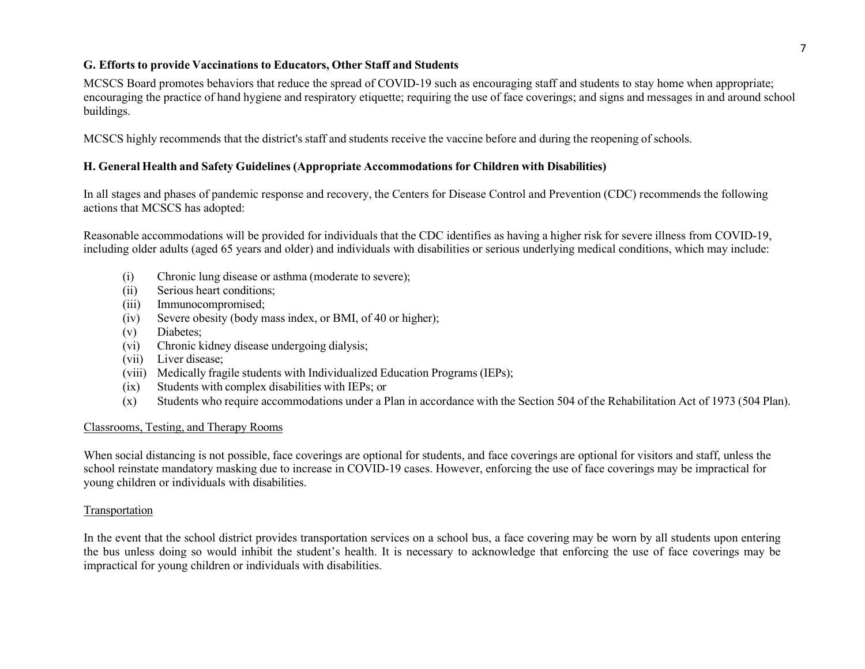#### **G. Efforts to provide Vaccinations to Educators, Other Staff and Students**

MCSCS Board promotes behaviors that reduce the spread of COVID-19 such as encouraging staff and students to stay home when appropriate; encouraging the practice of hand hygiene and respiratory etiquette; requiring the use of face coverings; and signs and messages in and around school buildings.

MCSCS highly recommends that the district's staff and students receive the vaccine before and during the reopening of schools.

#### **H. General Health and Safety Guidelines (Appropriate Accommodations for Children with Disabilities)**

In all stages and phases of pandemic response and recovery, the Centers for Disease Control and Prevention (CDC) recommends the following actions that MCSCS has adopted:

Reasonable accommodations will be provided for individuals that the CDC identifies as having a higher risk for severe illness from COVID-19, including older adults (aged 65 years and older) and individuals with disabilities or serious underlying medical conditions, which may include:

- (i) Chronic lung disease or asthma (moderate to severe);
- (ii) Serious heart conditions;
- (iii) Immunocompromised;
- (iv) Severe obesity (body mass index, or BMI, of 40 or higher);
- (v) Diabetes;
- (vi) Chronic kidney disease undergoing dialysis;
- (vii) Liver disease;
- (viii) Medically fragile students with Individualized Education Programs (IEPs);
- (ix) Students with complex disabilities with IEPs; or
- (x) Students who require accommodations under a Plan in accordance with the Section 504 of the Rehabilitation Act of 1973 (504 Plan).

#### Classrooms, Testing, and Therapy Rooms

When social distancing is not possible, face coverings are optional for students, and face coverings are optional for visitors and staff, unless the school reinstate mandatory masking due to increase in COVID-19 cases. However, enforcing the use of face coverings may be impractical for young children or individuals with disabilities.

#### **Transportation**

In the event that the school district provides transportation services on a school bus, a face covering may be worn by all students upon entering the bus unless doing so would inhibit the student's health. It is necessary to acknowledge that enforcing the use of face coverings may be impractical for young children or individuals with disabilities.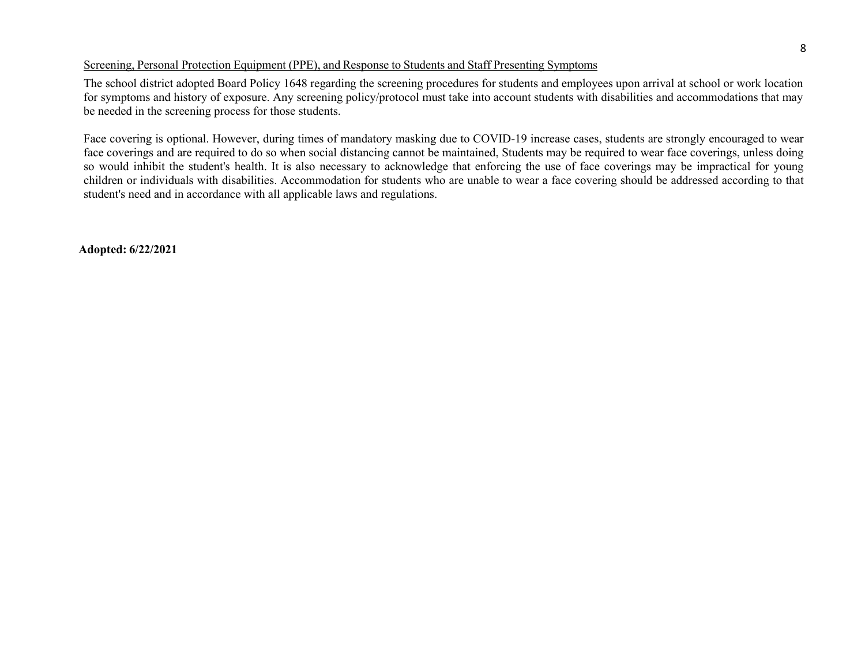#### Screening, Personal Protection Equipment (PPE), and Response to Students and Staff Presenting Symptoms

The school district adopted Board Policy 1648 regarding the screening procedures for students and employees upon arrival at school or work location for symptoms and history of exposure. Any screening policy/protocol must take into account students with disabilities and accommodations that may be needed in the screening process for those students.

Face covering is optional. However, during times of mandatory masking due to COVID-19 increase cases, students are strongly encouraged to wear face coverings and are required to do so when social distancing cannot be maintained, Students may be required to wear face coverings, unless doing so would inhibit the student's health. It is also necessary to acknowledge that enforcing the use of face coverings may be impractical for young children or individuals with disabilities. Accommodation for students who are unable to wear a face covering should be addressed according to that student's need and in accordance with all applicable laws and regulations.

**Adopted: 6/22/2021**